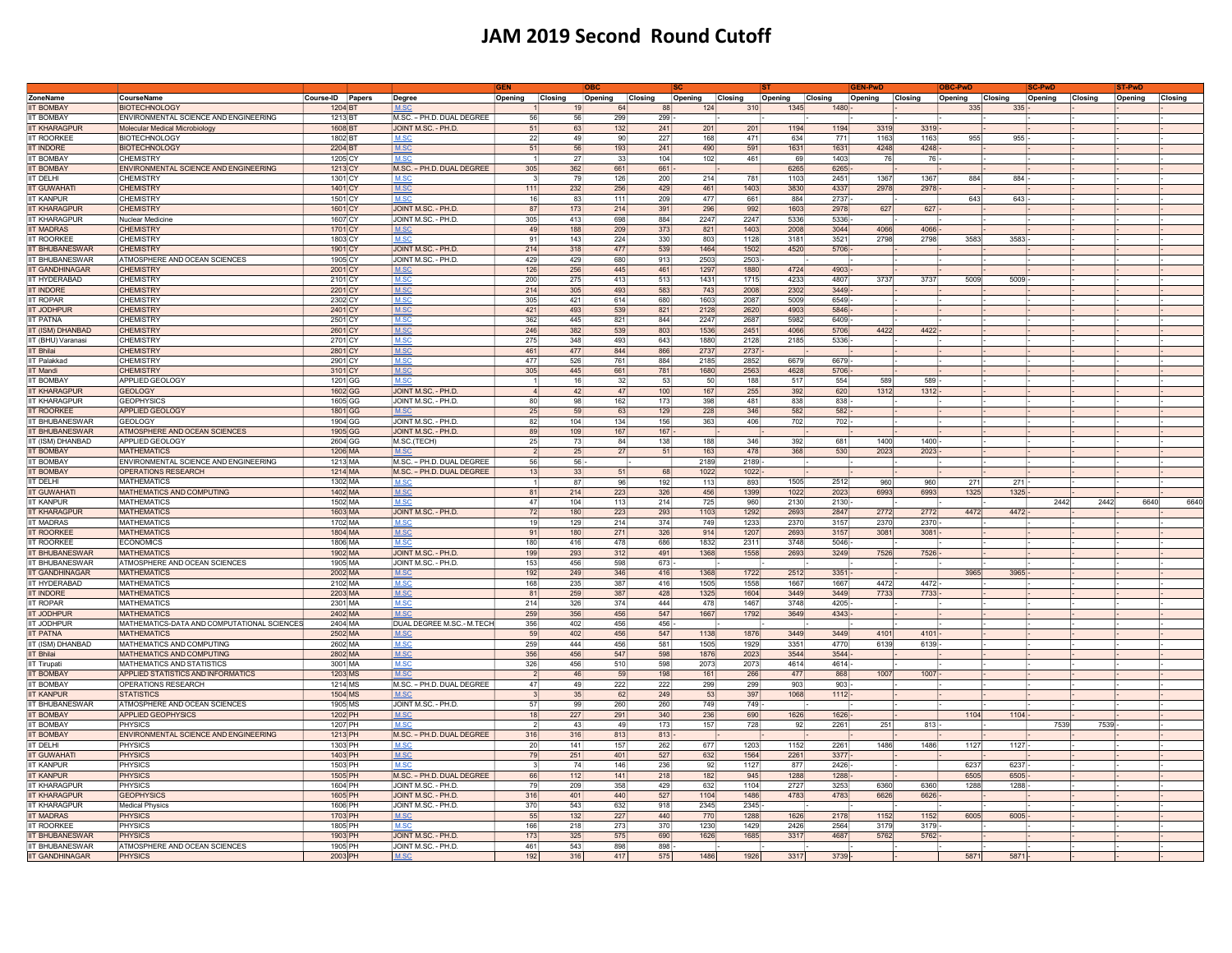## JAM 2019 Second Round Cutoff

|                        |                                             |                  |                           | <b>IGEN</b>        |     |                    |      |                    |      |         |         | EN-Pwl  |                    | <b>BC-PwL</b> |         | <b>C-Pwl</b>       |      | ST-PwL             |      |
|------------------------|---------------------------------------------|------------------|---------------------------|--------------------|-----|--------------------|------|--------------------|------|---------|---------|---------|--------------------|---------------|---------|--------------------|------|--------------------|------|
| ZoneName               | CourseName                                  | Course-ID Papers | <b>Degree</b>             | Opening<br>Closing |     | Opening<br>Closing |      | Opening<br>Closing |      | Opening | Closing | Opening | Closing<br>Opening |               | Closing | Opening<br>Closing |      | Opening<br>Closing |      |
| <b>IIT BOMBAY</b>      | <b>BIOTECHNOLOGY</b>                        | 1204 BT          |                           |                    |     | 64                 | 88   | 124                | 310  | 1345    | 1480    |         |                    | 335           | 335     |                    |      |                    |      |
| <b>IIT BOMBAY</b>      | ENVIRONMENTAL SCIENCE AND ENGINEERING       | 1213 BT          | M.SC. - PH.D. DUAL DEGREE | 56                 | 56  | 299                | 299  |                    |      |         |         |         |                    |               |         |                    |      |                    |      |
| <b>IIT KHARAGPUF</b>   | Molecular Medical Microbiology              | 1608 BT          | JOINT M.SC. - PH.D.       | 51                 | 63  | $132$              | 241  | 201                | 201  | 1194    | 1194    | 3319    | 3319               |               |         |                    |      |                    |      |
| <b>IIT ROORKER</b>     | <b>BIOTECHNOLOGY</b>                        | 1802 BT          | M.SO                      | 22                 | 49  | 90                 | 227  | 168                | 471  | 634     | 771     | 1163    | 1163               | 955           | 955     |                    |      |                    |      |
| <b>IT INDORF</b>       | <b>BIOTECHNOLOGY</b>                        | 2204 BT          | M <sub>S</sub>            | 51                 | 56  | 193                | 241  | 490                | 591  | 1631    | 1631    | 4248    | 4248               |               |         |                    |      |                    |      |
| <b>T BOMBAY</b>        | <b>CHEMISTRY</b>                            | 1205 CY          | M.SO                      |                    | 27  | 33                 | 104  | 102                | 461  | 69      | 1403    | 76      | 76                 |               |         |                    |      |                    |      |
| <b>BOMBAY</b>          | ENVIRONMENTAL SCIENCE AND ENGINEERING       | 1213 CY          | M.SC. - PH.D. DUAL DEGREE | 305                | 362 | 661                | 661  |                    |      | 6265    | 6265    |         |                    |               |         |                    |      |                    |      |
| T DELHI                | <b>CHEMISTRY</b>                            | 1301 CY          | M.SC                      | 3                  | 79  | 126                | 200  | 214                | 781  | 1103    | 2451    | 1367    | 1367               | 884           | 884     |                    |      |                    |      |
|                        |                                             |                  |                           |                    |     |                    |      |                    |      |         |         |         |                    |               |         |                    |      |                    |      |
| <b>IT GUWAHATI</b>     | <b>CHEMISTRY</b>                            | 1401 CY          | M.SC                      | $111$              | 232 | 256                | 429  | 461                | 1403 | 3830    | 4337    | 2978    | 2978               |               |         |                    |      |                    |      |
| <b>IT KANPUR</b>       | <b>CHEMISTRY</b>                            | 1501 CY          | M.SC                      | 16                 | 83  | 111                | 209  | 477                | 661  | 884     | 2737    |         |                    | 643           | 643     |                    |      |                    |      |
| <b>IIT KHARAGPUR</b>   | <b>CHEMISTRY</b>                            | 1601 CY          | JOINT M.SC. - PH.D.       | 87                 | 173 | 214                | 391  | 296                | 992  | 1603    | 2978    | 627     | $627 -$            |               |         |                    |      |                    |      |
| <b>IIT KHARAGPUR</b>   | Nuclear Medicine                            | 1607 CY          | JOINT M.SC. - PH.D.       | 305                | 413 | 698                | 884  | 2247               | 2247 | 5336    | 5336    |         |                    |               |         |                    |      |                    |      |
| <b>IIT MADRAS</b>      | <b>CHEMISTRY</b>                            | 1701 CY          | M.SC                      | 49                 | 188 | 209                | 373  | 821                | 1403 | 2008    | 3044    | 4066    | 4066               |               |         |                    |      |                    |      |
| <b>IT ROORKEE</b>      | <b>CHEMISTRY</b>                            | 1803 CY          | M.S                       | 91                 | 143 | 224                | 330  | 803                | 1128 | 3181    | 3521    | 2798    | 2798               | 3583          | 3583    |                    |      |                    |      |
| <b>IT BHUBANESWAR</b>  | <b>CHEMISTRY</b>                            | 1901 CY          | JOINT M.SC. - PH.D.       | 214                | 318 | 477                | 539  | 1464               | 1502 | 4520    | 5706    |         |                    |               |         |                    |      |                    |      |
| <b>IIT BHUBANESWAR</b> | ATMOSPHERE AND OCEAN SCIENCES               | 1905 CY          | JOINT M.SC. - PH.D.       | 429                | 429 | 680                | 913  | 2503               | 2503 |         |         |         |                    |               |         |                    |      |                    |      |
| <b>IIT GANDHINAGAR</b> | <b>CHEMISTRY</b>                            | 2001 CY          | M.S                       | 126                | 256 | 445                | 461  | 1297               | 1880 | 4724    | 4903    |         |                    |               |         |                    |      |                    |      |
|                        |                                             |                  | M S                       |                    |     |                    |      |                    |      |         |         |         |                    |               |         |                    |      |                    |      |
| IIT HYDERABAD          | <b>CHEMISTRY</b>                            | 2101 CY          |                           | 200                | 275 | 413                | 513  | 1431               | 1715 | 4233    | 4807    | 3737    | 3737               | 5009          | 5009    |                    |      |                    |      |
| <b>IIT INDORE</b>      | <b>CHEMISTRY</b>                            | 2201 CY          | MSC                       | 214                | 305 | 493                | 583  | 743                | 2008 | 2302    | 3449    |         |                    |               |         |                    |      |                    |      |
| <b>IT ROPAR</b>        | <b>CHEMISTRY</b>                            | 2302 CY          | <b>M</b> SO               | 305                | 421 | 614                | 680  | 1603               | 2087 | 5009    | 6549    |         |                    |               |         |                    |      |                    |      |
| <b>IT JODHPUR</b>      | <b>CHEMISTRY</b>                            | 2401 CY          | I M.SC                    | 421                | 493 | 539                | 821  | 2128               | 2620 | 4903    | 5846    |         |                    |               |         |                    |      |                    |      |
| <b>IT PATNA</b>        | <b>CHEMISTRY</b>                            | 2501 CY          | M.SC                      | 362                | 445 | 821                | 844  | 2247               | 2687 | 5982    | 6409    |         |                    |               |         |                    |      |                    |      |
| <b>T (ISM) DHANBAD</b> | <b>CHEMISTRY</b>                            | 2601 CY          | M.SC                      | 246                | 382 | 539                | 803  | 1536               | 2451 | 4066    | 5706    | 4422    | 4422               |               |         |                    |      |                    |      |
| T (BHU) Varanasi       | <b>CHEMISTRY</b>                            | 2701 CY          | M.SC                      | 275                | 348 | 493                | 643  | 1880               | 2128 | 2185    | 5336    |         |                    |               |         |                    |      |                    |      |
| <b>IIT Bhilai</b>      | <b>CHEMISTRY</b>                            | 2801 CY          | M.SC                      | 461                | 477 | 844                | 866  | 2737               | 2737 |         |         |         |                    |               |         |                    |      |                    |      |
| IT Palakkad            | <b>CHEMISTRY</b>                            | 2901 CY          | M.SC                      | 477                | 526 | 761                | 884  | 2185               | 2852 | 6679    | 6679    |         |                    |               |         |                    |      |                    |      |
| <b>IT Mandi</b>        | <b>CHEMISTRY</b>                            | 3101 CY          | M.SC                      | 305                | 445 | 661                | 781  | 1680               | 2563 | 4628    | 5706    |         |                    |               |         |                    |      |                    |      |
| <b>IIT BOMBAY</b>      | APPLIED GEOLOGY                             | 1201 GG          | M.SC                      |                    | 16  | -32                | -531 | 50                 | 188  | 517     | 554     | 589     | 589                |               |         |                    |      |                    |      |
|                        |                                             |                  |                           |                    |     |                    |      |                    |      |         |         |         |                    |               |         |                    |      |                    |      |
| <b>IIT KHARAGPUR</b>   | <b>GEOLOGY</b>                              | 1602 GG          | JOINT M.SC. - PH.D.       | -41                | 42  | 47                 | 100  | 167                | 255  | 392     | 620     | 1312    | 1312               |               |         |                    |      |                    |      |
| <b>IIT KHARAGPUR</b>   | <b>GEOPHYSICS</b>                           | 1605 GG          | JOINT M.SC. - PH.D.       | 80                 | 98  | 162                | 173  | 398                | 481  | 838     | 838     |         |                    |               |         |                    |      |                    |      |
| <b>IIT ROORKEE</b>     | APPLIED GEOLOGY                             | 1801 GG          | M.SC                      | 25                 | 59  | 63                 | 129  | 228                | 346  | 582     | 582     |         |                    |               |         |                    |      |                    |      |
| <b>IIT BHUBANESWAR</b> | GEOLOGY                                     | 1904 GG          | JOINT M.SC. - PH.D.       | 82                 | 104 | 134                | 156  | 363                | 406  | 702     | 702     |         |                    |               |         |                    |      |                    |      |
| <b>IIT BHUBANESWAR</b> | ATMOSPHERE AND OCEAN SCIENCES               | 1905 GG          | JOINT M.SC. - PH.D.       | 89                 | 109 | 167                | 167  |                    |      |         |         |         |                    |               |         |                    |      |                    |      |
| IIT (ISM) DHANBAD      | <b>APPLIED GEOLOGY</b>                      | 2604 GG          | M.SC.(TECH)               | 25                 | 73  | 84                 | 138  | 188                | 346  | 392     | 681     | 1400    | 1400               |               |         |                    |      |                    |      |
| <b>IIT BOMBAY</b>      | <b>MATHEMATICS</b>                          | 1206 MA          |                           |                    | 25  | 27                 | 51   | 163                | 478  | 368     | 530     | 2023    | 2023               |               |         |                    |      |                    |      |
| <b>IT BOMBAY</b>       | ENVIRONMENTAL SCIENCE AND ENGINEERING       | 1213 MA          | M.SC. - PH.D. DUAL DEGREE | -56                | 56  |                    |      | 2189               | 2189 |         |         |         |                    |               |         |                    |      |                    |      |
| <b>IIT BOMBAY</b>      | <b>OPERATIONS RESEARCH</b>                  | 1214 MA          | M.SC. - PH.D. DUAL DEGREE | 13                 | 33  | 51                 | 68   | 1022               | 1022 |         |         |         |                    |               |         |                    |      |                    |      |
| IT DFI HI              | MATHEMATICS                                 | 1302 MA          | M.SC                      |                    | 87  | 96                 | 192  | 113                | 893  | 1505    | 2512    | 960     | 960                | 271           | 271     |                    |      |                    |      |
|                        |                                             |                  |                           |                    |     |                    |      |                    |      |         |         |         |                    |               |         |                    |      |                    |      |
| <b>T GUWAHAT</b>       | MATHEMATICS AND COMPUTING                   | 1402 MA          | M.SC                      | 81                 | 214 | 223                | 326  | 456                | 1399 | 1022    | 2023    | 6993    | 6993               | 1325          | 1325    |                    |      |                    |      |
| t kanpur               | <b>MATHEMATICS</b>                          | 1502 MA          | M.SC                      | 47                 | 104 | 113                | 214  | 725                | 960  | 2130    | 2130    |         |                    |               |         | 2442               | 2442 | 6640               | 6640 |
| <b>T KHARAGPUR</b>     | <b>MATHEMATICS</b>                          | 1603 MA          | JOINT M.SC. - PH.D.       | 72                 | 180 | 223                | 293  | 1103               | 1292 | 2693    | 2847    | 2772    | 2772               | 4472          | 4472    |                    |      |                    |      |
| <b>T MADRAS</b>        | <b>MATHEMATICS</b>                          | 1702 MA          | M.SC                      | 19                 | 129 | 214                | 374  | 749                | 1233 | 2370    | 3157    | 2370    | 2370               |               |         |                    |      |                    |      |
| <b>IT ROORKEE</b>      | <b>MATHEMATICS</b>                          | 1804 MA          | M.SC                      | 91                 | 180 | 271                | 326  | 914                | 1207 | 2693    | 3157    | 3081    | 3081               |               |         |                    |      |                    |      |
| <b>IIT ROORKEE</b>     | <b>FCONOMICS</b>                            | 1806 MA          | M.SC                      | 180                | 416 | 478                | 686  | 1832               | 2311 | 3748    | 5046    |         |                    |               |         |                    |      |                    |      |
| <b>IIT BHUBANESWAR</b> | <b>MATHEMATICS</b>                          | 1902 MA          | JOINT M.SC. - PH.D.       | 199                | 293 | 312                | 491  | 1368               | 1558 | 2693    | 3249    | 7526    | 7526               |               |         |                    |      |                    |      |
| <b>IIT BHUBANESWAR</b> | ATMOSPHERE AND OCEAN SCIENCES               | 1905 MA          | JOINT M.SC. - PH.D.       | 153                | 456 | 598                | 673  |                    |      |         |         |         |                    |               |         |                    |      |                    |      |
| <b>IIT GANDHINAGAR</b> | <b>MATHEMATICS</b>                          | 2002 MA          | M.SO                      | 192                | 249 | 346                | 416  | 1368               | 1722 | 2512    | 3351    |         |                    | 3965          | 3965    |                    |      |                    |      |
|                        |                                             |                  |                           |                    |     |                    |      |                    |      |         |         |         |                    |               |         |                    |      |                    |      |
| IIT HYDERABAD          | <b>MATHEMATICS</b>                          | 2102 MA          | M.SO                      | 168                | 235 | 387                | 416  | 1505               | 1558 | 1667    | 1667    | 4472    | 4472               |               |         |                    |      |                    |      |
| <b>IT INDORE</b>       | <b>MATHEMATICS</b>                          | 2203 MA          | M.SC                      | 81                 | 259 | 387                | 428  | 1325               | 1604 | 3449    | 3449    | 7733    | 7733               |               |         |                    |      |                    |      |
| <b>IT ROPAR</b>        | <b>MATHEMATICS</b>                          | 2301 MA          | M.SO                      | 214                | 326 | 374                | 444  | 478                | 1467 | 3748    | 4205    |         |                    |               |         |                    |      |                    |      |
| IT JODHPUR             | <b>MATHEMATICS</b>                          | 2402 MA          |                           | 259                | 356 | 456                | 547  | 1667               | 1792 | 3649    | 4343    |         |                    |               |         |                    |      |                    |      |
| <b>IIT JODHPUR</b>     | MATHEMATICS-DATA AND COMPUTATIONAL SCIENCES | 2404 MA          | DUAL DEGREE M.SC.- M.TECH | 356                | 402 | 456                | 456  |                    |      |         |         |         |                    |               |         |                    |      |                    |      |
| <b>IT PATNA</b>        | <b>MATHEMATICS</b>                          | 2502 MA          | M <sup>2</sup>            | 59                 | 402 | 456                | 547  | 1138               | 1876 | 3449    | 3449    | 4101    | 4101               |               |         |                    |      |                    |      |
| <b>T (ISM) DHANBAD</b> | MATHEMATICS AND COMPUTING                   | 2602 MA          | M.S                       | 259                | 444 | 456                | 581  | 1505               | 1929 | 3351    | 4770    | 6139    | 6139               |               |         |                    |      |                    |      |
| T Bhilai               | MATHEMATICS AND COMPUTING                   | 2802 MA          | M.SC                      | 356                | 456 | 547                | 598  | 1876               | 2023 | 3544    | 3544    |         |                    |               |         |                    |      |                    |      |
| T Tirupati             | <b>MATHEMATICS AND STATISTICS</b>           | 3001 MA          | M.SC                      | 326                | 456 | 510                | 598  | 2073               | 2073 | 4614    | 4614    |         |                    |               |         |                    |      |                    |      |
| <b>BOMBAY</b>          | <b>APPLIED STATISTICS AND INFORMATICS</b>   | $1203$ MS        | M.SC                      |                    | 46  | 59                 | 198  | 161                | 266  | 477     | 868     | 1007    | 1007               |               |         |                    |      |                    |      |
|                        |                                             |                  |                           |                    |     |                    |      |                    |      |         |         |         |                    |               |         |                    |      |                    |      |
| <b>IT BOMBAY</b>       | <b>OPERATIONS RESEARCH</b>                  | 1214 MS          | M.SC. - PH.D. DUAL DEGREE | 47                 | 49  | 222                | 222  | 299                | 299  | 903     | 903     |         |                    |               |         |                    |      |                    |      |
| <b>IIT KANPUR</b>      | <b>STATISTICS</b>                           | 1504 MS          | M.SC                      |                    | 35  | 62                 | 249  | 53                 | 397  | 1068    | 1112    |         |                    |               |         |                    |      |                    |      |
| <b>IT BHUBANESWAR</b>  | ATMOSPHERE AND OCEAN SCIENCES               | 1905 MS          | JOINT M.SC. - PH.D.       | 57                 | -99 | 260                | 260  | 749                | 749  |         |         |         |                    |               |         |                    |      |                    |      |
| <b>IIT BOMBAY</b>      | <b>APPLIED GEOPHYSICS</b>                   | 1202 PH          | I M.SC                    | 18                 | 227 | 291                | 340  | 236                | 690  | 1626    | 1626    |         |                    | 1104          | 1104    |                    |      |                    |      |
| <b>IIT BOMBAY</b>      | PHYSICS                                     | 1207 PH          | M.S                       | - 2                | 43  | -49                | 173  | 157                | 728  | 92      | 2261    | 251     | 813                |               |         | 7539               | 7539 |                    |      |
| <b>IIT BOMBAY</b>      | ENVIRONMENTAL SCIENCE AND ENGINEERING       | 1213 PH          | M.SC. - PH.D. DUAL DEGREE | 316                | 316 | 813                | 813  |                    |      |         |         |         |                    |               |         |                    |      |                    |      |
| <b>IIT DELHI</b>       | PHYSICS                                     | 1303 PH          | M.SC                      | 20                 | 141 | 157                | 262  | 677                | 1203 | 1152    | 2261    | 1486    | 1486               | 1127          | 1127    |                    |      |                    |      |
| <b>IT GUWAHATI</b>     | PHYSICS                                     | 1403 PH          | M.SC                      | 79                 | 251 | 401                | 527  | 632                | 1564 | 2261    | 3377    |         |                    |               |         |                    |      |                    |      |
| <b>IIT KANPUR</b>      | PHYSICS                                     | 1503 PH          |                           |                    | 74  | 146                | 236  | 92                 | 1127 | 877     | 2426    |         |                    | 6237          | 6237    |                    |      |                    |      |
| <b>IIT KANPUR</b>      | PHYSICS                                     | 1505 PH          | M.SC. - PH.D. DUAL DEGREE | 66                 | 112 | 141                | 218  | 182                | 945  | 1288    | 1288    |         |                    | 6505          | 6505    |                    |      |                    |      |
|                        |                                             |                  |                           |                    |     |                    |      |                    |      |         |         |         |                    |               |         |                    |      |                    |      |
| <b>IIT KHARAGPUR</b>   | PHYSICS                                     | 1604 PH          | JOINT M.SC. - PH.D        | 79                 | 209 | 358                | 429  | 632                | 1104 | 2727    | 3253    | 6360    | 6360               | 1288          | 1288    |                    |      |                    |      |
| <b>IIT KHARAGPUR</b>   | <b>GEOPHYSICS</b>                           | 1605 PH          | JOINT M.SC. - PH.D.       | 316                | 401 | 440                | 527  | 1104               | 1486 | 4783    | 4783    | 6626    | 6626               |               |         |                    |      |                    |      |
| <b>IT KHARAGPUR</b>    | Medical Physics                             | 1606 PH          | JOINT M.SC. - PH.D.       | 370                | 543 | 632                | 918  | 2345               | 2345 |         |         |         |                    |               |         |                    |      |                    |      |
| <b>T MADRAS</b>        | PHYSICS                                     | 1703 PH          | $M$ S                     | 55                 | 132 | 227                | 440  | 770                | 1288 | 1626    | 2178    | 1152    | 1152               | 6005          | 6005    |                    |      |                    |      |
| <b>T ROORKEE</b>       | PHYSICS                                     | 1805 PH          | M.SC                      | 166                | 218 | 273                | 370  | 1230               | 1429 | 2426    | 2564    | 3179    | 3179               |               |         |                    |      |                    |      |
| <b>IIT BHUBANESWAR</b> | <b>PHYSICS</b>                              | 1903 PH          | JOINT M.SC. - PH.D        | 173                | 325 | 575                | 690  | 1626               | 1685 | 3317    | 4687    | 5762    | 5762               |               |         |                    |      |                    |      |
| <b>IIT BHUBANESWAR</b> | ATMOSPHERE AND OCEAN SCIENCES               | 1905 PH          | JOINT M.SC. - PH.D.       | 461                | 543 | 898                | 898  |                    |      |         |         |         |                    |               |         |                    |      |                    |      |
| <b>IIT GANDHINAGAR</b> | <b>PHYSICS</b>                              | 2003 PH          | M.SC                      | 192                | 316 | 417                | 575  | 1486               | 1926 | 3317    | 3739    |         |                    | 5871          | 5871    |                    |      |                    |      |
|                        |                                             |                  |                           |                    |     |                    |      |                    |      |         |         |         |                    |               |         |                    |      |                    |      |